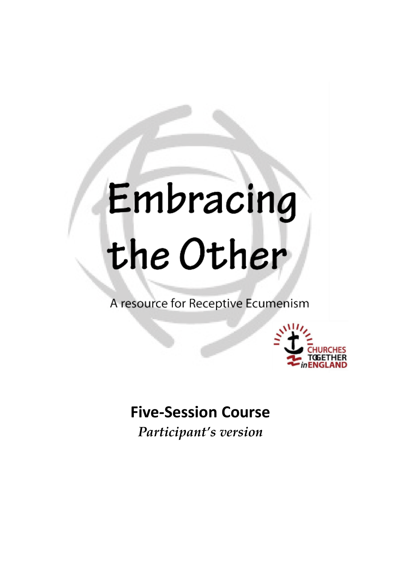# Embracing the Other

A resource for Receptive Ecumenism



### **Five-Session Course**

*Participant's version*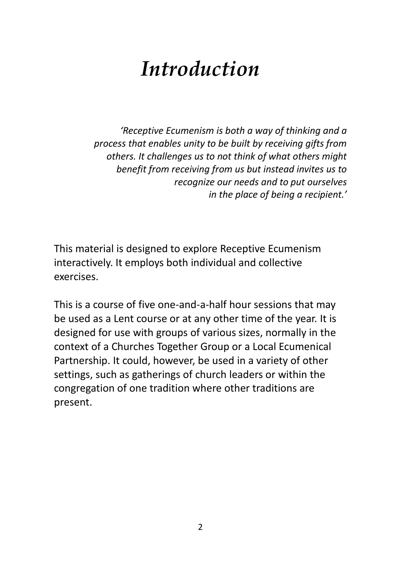## *Introduction*

*'Receptive Ecumenism is both a way of thinking and a process that enables unity to be built by receiving gifts from others. It challenges us to not think of what others might benefit from receiving from us but instead invites us to recognize our needs and to put ourselves in the place of being a recipient.'*

This material is designed to explore Receptive Ecumenism interactively. It employs both individual and collective exercises.

This is a course of five one-and-a-half hour sessions that may be used as a Lent course or at any other time of the year. It is designed for use with groups of various sizes, normally in the context of a Churches Together Group or a Local Ecumenical Partnership. It could, however, be used in a variety of other settings, such as gatherings of church leaders or within the congregation of one tradition where other traditions are present.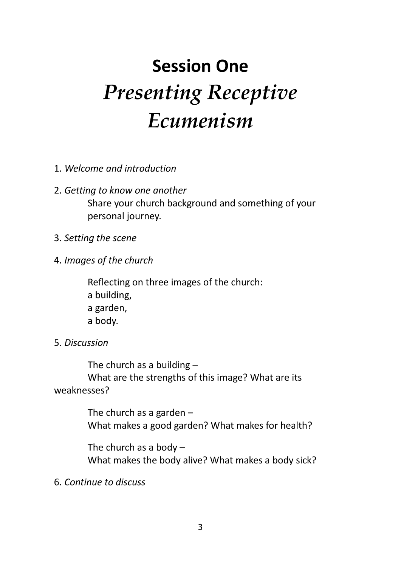## **Session One** *Presenting Receptive Ecumenism*

- 1. *Welcome and introduction*
- 2. *Getting to know one another* Share your church background and something of your personal journey.
- 3. *Setting the scene*
- 4. *Images of the church*

Reflecting on three images of the church: a building, a garden, a body.

5. *Discussion*

The church as a building – What are the strengths of this image? What are its weaknesses?

> The church as a garden – What makes a good garden? What makes for health?

The church as a body – What makes the body alive? What makes a body sick?

6. *Continue to discuss*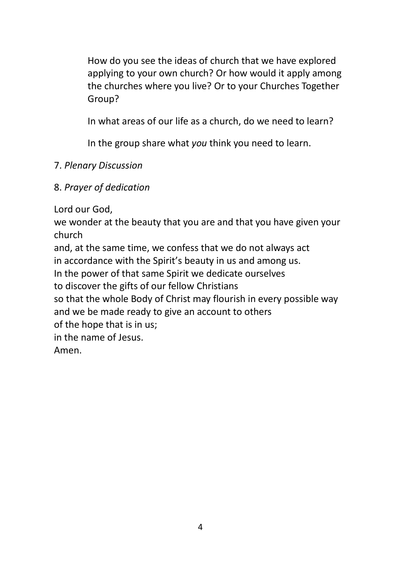How do you see the ideas of church that we have explored applying to your own church? Or how would it apply among the churches where you live? Or to your Churches Together Group?

In what areas of our life as a church, do we need to learn?

In the group share what *you* think you need to learn.

#### 7. *Plenary Discussion*

#### 8. *Prayer of dedication*

Lord our God,

we wonder at the beauty that you are and that you have given your church

and, at the same time, we confess that we do not always act

in accordance with the Spirit's beauty in us and among us.

In the power of that same Spirit we dedicate ourselves

to discover the gifts of our fellow Christians

so that the whole Body of Christ may flourish in every possible way and we be made ready to give an account to others

of the hope that is in us;

in the name of Jesus.

Amen.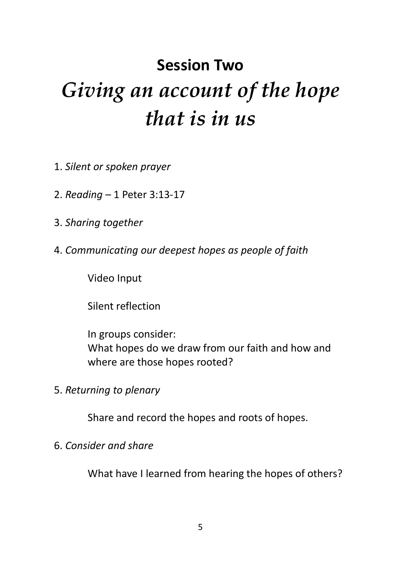## **Session Two** *Giving an account of the hope that is in us*

- 1. *Silent or spoken prayer*
- 2. *Reading –* 1 Peter 3:13-17
- 3. *Sharing together*
- 4. *Communicating our deepest hopes as people of faith*

Video Input

Silent reflection

In groups consider: What hopes do we draw from our faith and how and where are those hopes rooted?

5. *Returning to plenary*

Share and record the hopes and roots of hopes.

#### 6. *Consider and share*

What have I learned from hearing the hopes of others?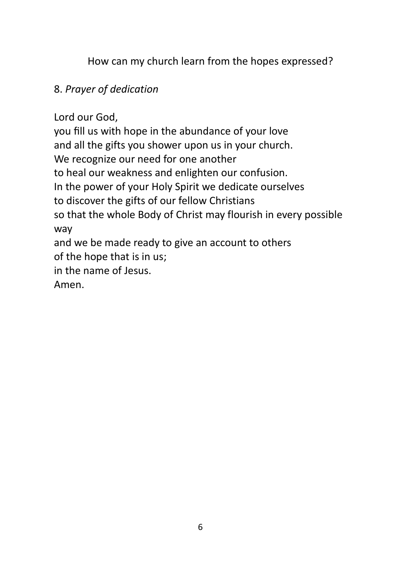How can my church learn from the hopes expressed?

#### 8. *Prayer of dedication*

Lord our God,

you fill us with hope in the abundance of your love and all the gifts you shower upon us in your church. We recognize our need for one another to heal our weakness and enlighten our confusion. In the power of your Holy Spirit we dedicate ourselves to discover the gifts of our fellow Christians so that the whole Body of Christ may flourish in every possible way and we be made ready to give an account to others of the hope that is in us; in the name of Jesus.

Amen.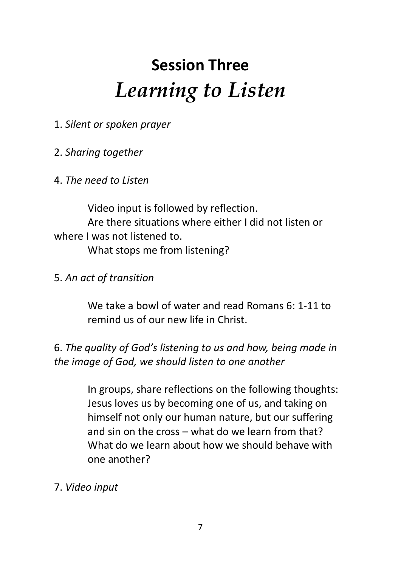## **Session Three** *Learning to Listen*

1. *Silent or spoken prayer*

#### 2. *Sharing together*

#### 4. *The need to Listen*

Video input is followed by reflection. Are there situations where either I did not listen or where I was not listened to. What stops me from listening?

#### 5. *An act of transition*

We take a bowl of water and read Romans 6: 1-11 to remind us of our new life in Christ.

6. *The quality of God's listening to us and how, being made in the image of God, we should listen to one another*

> In groups, share reflections on the following thoughts: Jesus loves us by becoming one of us, and taking on himself not only our human nature, but our suffering and sin on the cross – what do we learn from that? What do we learn about how we should behave with one another?

7. *Video input*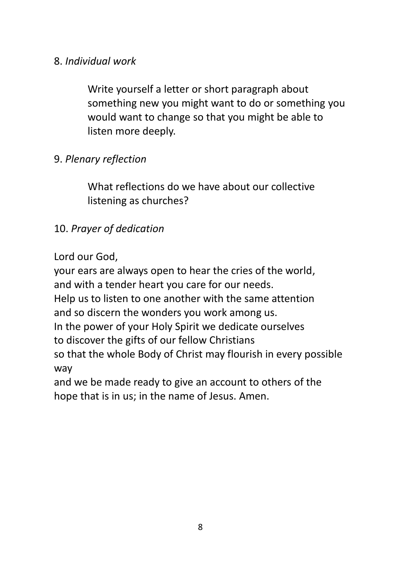#### 8. *Individual work*

Write yourself a letter or short paragraph about something new you might want to do or something you would want to change so that you might be able to listen more deeply.

#### 9. *Plenary reflection*

What reflections do we have about our collective listening as churches?

#### 10. *Prayer of dedication*

Lord our God,

your ears are always open to hear the cries of the world, and with a tender heart you care for our needs. Help us to listen to one another with the same attention and so discern the wonders you work among us. In the power of your Holy Spirit we dedicate ourselves to discover the gifts of our fellow Christians so that the whole Body of Christ may flourish in every possible way and we be made ready to give an account to others of the

hope that is in us; in the name of Jesus. Amen.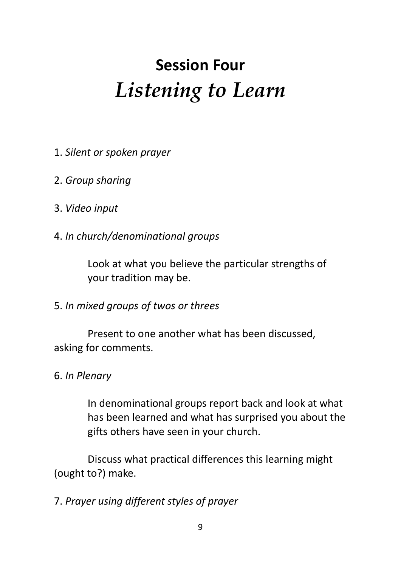## **Session Four** *Listening to Learn*

- 1. *Silent or spoken prayer*
- 2. *Group sharing*
- 3. *Video input*
- 4. *In church/denominational groups*

Look at what you believe the particular strengths of your tradition may be.

5. *In mixed groups of twos or threes*

Present to one another what has been discussed, asking for comments.

6. *In Plenary*

In denominational groups report back and look at what has been learned and what has surprised you about the gifts others have seen in your church.

Discuss what practical differences this learning might (ought to?) make.

7. *Prayer using different styles of prayer*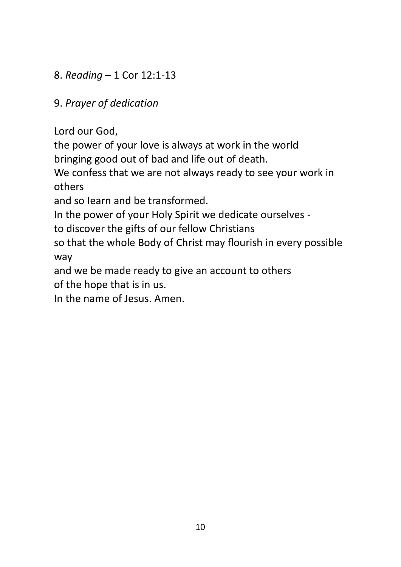#### 8. *Reading* – 1 Cor 12:1-13

#### 9. *Prayer of dedication*

Lord our God,

the power of your love is always at work in the world bringing good out of bad and life out of death.

We confess that we are not always ready to see your work in others

and so Iearn and be transformed.

In the power of your Holy Spirit we dedicate ourselves -

to discover the gifts of our fellow Christians

so that the whole Body of Christ may flourish in every possible way

and we be made ready to give an account to others

of the hope that is in us.

In the name of Jesus. Amen.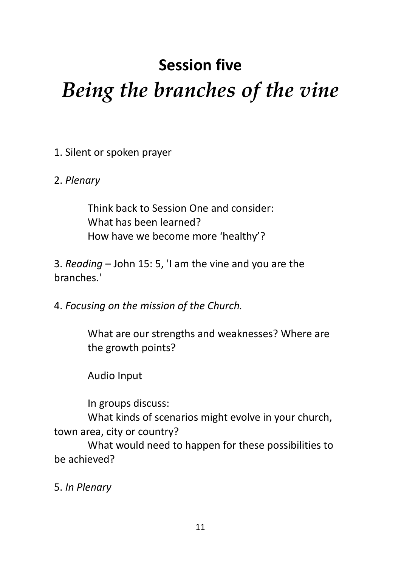## **Session five** *Being the branches of the vine*

1. Silent or spoken prayer

#### 2. *Plenary*

Think back to Session One and consider: What has been learned? How have we become more 'healthy'?

3. *Reading* – John 15: 5, 'I am the vine and you are the branches.'

4. *Focusing on the mission of the Church.*

What are our strengths and weaknesses? Where are the growth points?

Audio Input

In groups discuss:

What kinds of scenarios might evolve in your church, town area, city or country?

What would need to happen for these possibilities to be achieved?

5. *In Plenary*